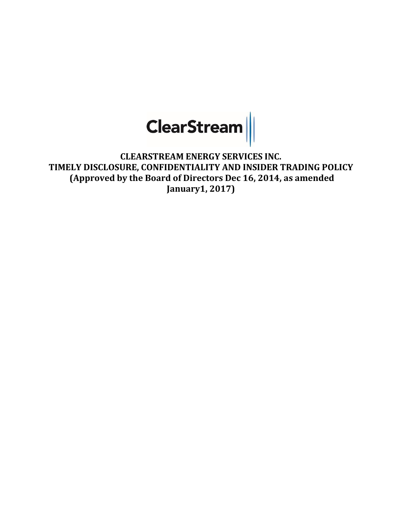

**CLEARSTREAM ENERGY SERVICES INC. TIMELY DISCLOSURE, CONFIDENTIALITY AND INSIDER TRADING POLICY (Approved by the Board of Directors Dec 16, 2014, as amended January1, 2017)**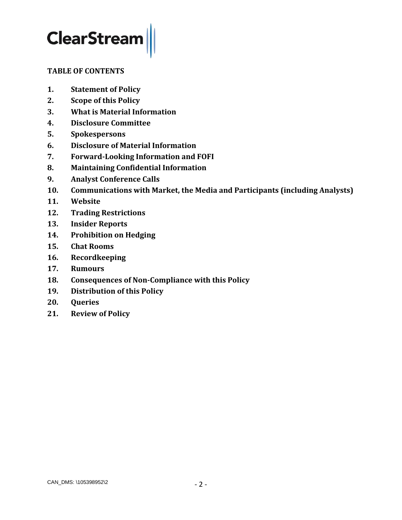## <span id="page-1-0"></span>**TABLE OF CONTENTS**

- **1. [Statement of Policy](#page-1-0)**
- **2. [Scope of this Policy](#page-2-0)**
- **3. [What is Material Information](#page-3-0)**
- **4. [Disclosure Committee](#page-4-0)**
- **5. [Spokespersons](#page-5-0)**
- **6. [Disclosure of Material Information](#page-6-0)**
- **7. [Forward-Looking Information and FOFI](#page-10-0)**
- **8. [Maintaining Confidential Information](#page-11-0)**
- **9. [Analyst Conference Calls](#page-13-0)**
- **10. [Communications with Market, the Media and Participants \(including Analysts\)](#page-14-0)**
- **11. [Website](#page-15-0)**
- **12. [Trading Restrictions](#page-17-0)**
- **13. [Insider Reports](#page-18-0)**
- **14. Prohibition on Hedging**
- **15. [Chat Rooms](#page-18-1)**
- **16. [Recordkeeping](#page-19-0)**
- **17. [Rumours](#page-19-1)**
- **18. [Consequences of Non-Compliance with this Policy](#page-19-2)**
- **19. [Distribution of this Policy](#page-19-3)**
- **20. [Queries](#page-19-4)**
- **21. [Review of Policy](#page-20-0)**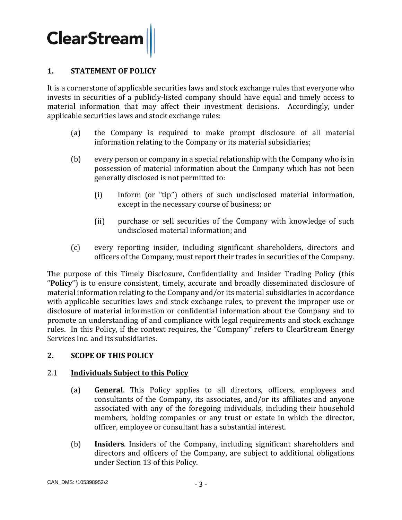## **1. STATEMENT OF POLICY**

It is a cornerstone of applicable securities laws and stock exchange rules that everyone who invests in securities of a publicly-listed company should have equal and timely access to material information that may affect their investment decisions. Accordingly, under applicable securities laws and stock exchange rules:

- (a) the Company is required to make prompt disclosure of all material information relating to the Company or its material subsidiaries;
- (b) every person or company in a special relationship with the Company who is in possession of material information about the Company which has not been generally disclosed is not permitted to:
	- (i) inform (or "tip") others of such undisclosed material information, except in the necessary course of business; or
	- (ii) purchase or sell securities of the Company with knowledge of such undisclosed material information; and
- (c) every reporting insider, including significant shareholders, directors and officers of the Company, must report their trades in securities of the Company.

The purpose of this Timely Disclosure, Confidentiality and Insider Trading Policy (this "**Policy**") is to ensure consistent, timely, accurate and broadly disseminated disclosure of material information relating to the Company and/or its material subsidiaries in accordance with applicable securities laws and stock exchange rules, to prevent the improper use or disclosure of material information or confidential information about the Company and to promote an understanding of and compliance with legal requirements and stock exchange rules. In this Policy, if the context requires, the "Company" refers to ClearStream Energy Services Inc. and its subsidiaries.

#### <span id="page-2-0"></span>**2. SCOPE OF THIS POLICY**

#### 2.1 **Individuals Subject to this Policy**

- (a) **General**. This Policy applies to all directors, officers, employees and consultants of the Company, its associates, and/or its affiliates and anyone associated with any of the foregoing individuals, including their household members, holding companies or any trust or estate in which the director, officer, employee or consultant has a substantial interest.
- (b) **Insiders**. Insiders of the Company, including significant shareholders and directors and officers of the Company, are subject to additional obligations under Section [13](#page-18-0) of this Policy.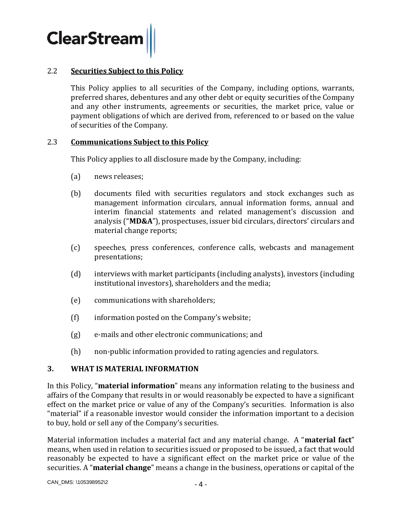

#### 2.2 **Securities Subject to this Policy**

This Policy applies to all securities of the Company, including options, warrants, preferred shares, debentures and any other debt or equity securities of the Company and any other instruments, agreements or securities, the market price, value or payment obligations of which are derived from, referenced to or based on the value of securities of the Company.

#### 2.3 **Communications Subject to this Policy**

This Policy applies to all disclosure made by the Company, including:

- (a) news releases;
- (b) documents filed with securities regulators and stock exchanges such as management information circulars, annual information forms, annual and interim financial statements and related management's discussion and analysis ("**MD&A**"), prospectuses, issuer bid circulars, directors' circulars and material change reports;
- (c) speeches, press conferences, conference calls, webcasts and management presentations;
- (d) interviews with market participants (including analysts), investors (including institutional investors), shareholders and the media;
- (e) communications with shareholders;
- (f) information posted on the Company's website;
- (g) e-mails and other electronic communications; and
- (h) non-public information provided to rating agencies and regulators.

#### <span id="page-3-0"></span>**3. WHAT IS MATERIAL INFORMATION**

In this Policy, "**material information**" means any information relating to the business and affairs of the Company that results in or would reasonably be expected to have a significant effect on the market price or value of any of the Company's securities. Information is also "material" if a reasonable investor would consider the information important to a decision to buy, hold or sell any of the Company's securities.

Material information includes a material fact and any material change. A "**material fact**" means, when used in relation to securities issued or proposed to be issued, a fact that would reasonably be expected to have a significant effect on the market price or value of the securities. A "**material change**" means a change in the business, operations or capital of the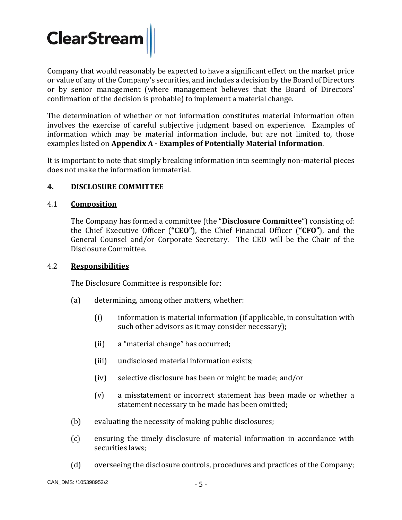Company that would reasonably be expected to have a significant effect on the market price or value of any of the Company's securities, and includes a decision by the Board of Directors or by senior management (where management believes that the Board of Directors' confirmation of the decision is probable) to implement a material change.

The determination of whether or not information constitutes material information often involves the exercise of careful subjective judgment based on experience. Examples of information which may be material information include, but are not limited to, those examples listed on **Appendix A - Examples of Potentially Material Information**.

It is important to note that simply breaking information into seemingly non-material pieces does not make the information immaterial.

# <span id="page-4-0"></span>**4. DISCLOSURE COMMITTEE**

## 4.1 **Composition**

The Company has formed a committee (the "**Disclosure Committee**") consisting of: the Chief Executive Officer (**"CEO"**), the Chief Financial Officer (**"CFO"**), and the General Counsel and/or Corporate Secretary. The CEO will be the Chair of the Disclosure Committee.

#### 4.2 **Responsibilities**

The Disclosure Committee is responsible for:

- (a) determining, among other matters, whether:
	- (i) information is material information (if applicable, in consultation with such other advisors as it may consider necessary);
	- (ii) a "material change" has occurred;
	- (iii) undisclosed material information exists;
	- (iv) selective disclosure has been or might be made; and/or
	- (v) a misstatement or incorrect statement has been made or whether a statement necessary to be made has been omitted;
- (b) evaluating the necessity of making public disclosures;
- (c) ensuring the timely disclosure of material information in accordance with securities laws;
- (d) overseeing the disclosure controls, procedures and practices of the Company;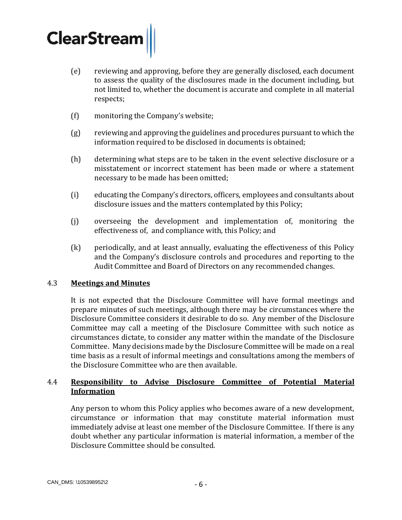- <span id="page-5-0"></span>(e) reviewing and approving, before they are generally disclosed, each document to assess the quality of the disclosures made in the document including, but not limited to, whether the document is accurate and complete in all material respects;
- (f) monitoring the Company's website;
- (g) reviewing and approving the guidelines and procedures pursuant to which the information required to be disclosed in documents is obtained;
- (h) determining what steps are to be taken in the event selective disclosure or a misstatement or incorrect statement has been made or where a statement necessary to be made has been omitted;
- (i) educating the Company's directors, officers, employees and consultants about disclosure issues and the matters contemplated by this Policy;
- (j) overseeing the development and implementation of, monitoring the effectiveness of, and compliance with, this Policy; and
- (k) periodically, and at least annually, evaluating the effectiveness of this Policy and the Company's disclosure controls and procedures and reporting to the Audit Committee and Board of Directors on any recommended changes.

#### 4.3 **Meetings and Minutes**

It is not expected that the Disclosure Committee will have formal meetings and prepare minutes of such meetings, although there may be circumstances where the Disclosure Committee considers it desirable to do so. Any member of the Disclosure Committee may call a meeting of the Disclosure Committee with such notice as circumstances dictate, to consider any matter within the mandate of the Disclosure Committee. Many decisions made by the Disclosure Committee will be made on a real time basis as a result of informal meetings and consultations among the members of the Disclosure Committee who are then available.

## 4.4 **Responsibility to Advise Disclosure Committee of Potential Material Information**

Any person to whom this Policy applies who becomes aware of a new development, circumstance or information that may constitute material information must immediately advise at least one member of the Disclosure Committee. If there is any doubt whether any particular information is material information, a member of the Disclosure Committee should be consulted.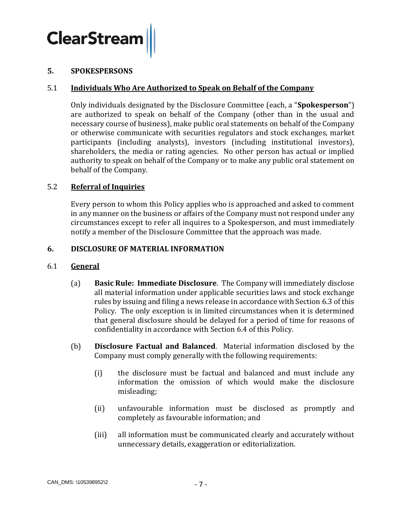

#### **5. SPOKESPERSONS**

#### 5.1 **Individuals Who Are Authorized to Speak on Behalf of the Company**

Only individuals designated by the Disclosure Committee (each, a "**Spokesperson**") are authorized to speak on behalf of the Company (other than in the usual and necessary course of business), make public oral statements on behalf of the Company or otherwise communicate with securities regulators and stock exchanges, market participants (including analysts), investors (including institutional investors), shareholders, the media or rating agencies. No other person has actual or implied authority to speak on behalf of the Company or to make any public oral statement on behalf of the Company.

#### 5.2 **Referral of Inquiries**

Every person to whom this Policy applies who is approached and asked to comment in any manner on the business or affairs of the Company must not respond under any circumstances except to refer all inquires to a Spokesperson, and must immediately notify a member of the Disclosure Committee that the approach was made.

#### <span id="page-6-0"></span>**6. DISCLOSURE OF MATERIAL INFORMATION**

#### 6.1 **General**

- (a) **Basic Rule: Immediate Disclosure**.The Company will immediately disclose all material information under applicable securities laws and stock exchange rules by issuing and filing a news release in accordance with Section [6.3](#page-7-0) of this Policy. The only exception is in limited circumstances when it is determined that general disclosure should be delayed for a period of time for reasons of confidentiality in accordance with Sectio[n 6.4](#page-8-0) of this Policy.
- (b) **Disclosure Factual and Balanced**. Material information disclosed by the Company must comply generally with the following requirements:
	- (i) the disclosure must be factual and balanced and must include any information the omission of which would make the disclosure misleading;
	- (ii) unfavourable information must be disclosed as promptly and completely as favourable information; and
	- (iii) all information must be communicated clearly and accurately without unnecessary details, exaggeration or editorialization.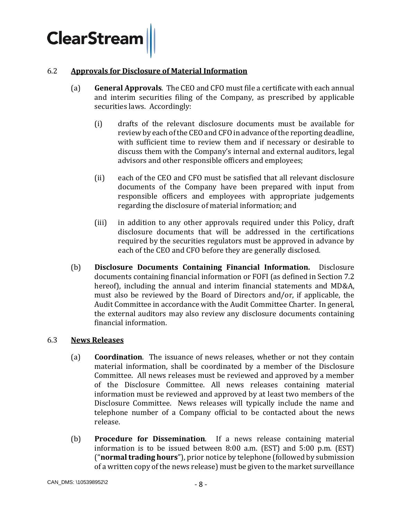

#### 6.2 **Approvals for Disclosure of Material Information**

- (a) **General Approvals**. The CEO and CFO must file a certificate with each annual and interim securities filing of the Company, as prescribed by applicable securities laws. Accordingly:
	- (i) drafts of the relevant disclosure documents must be available for review by each of the CEO and CFO in advance of the reporting deadline, with sufficient time to review them and if necessary or desirable to discuss them with the Company's internal and external auditors, legal advisors and other responsible officers and employees;
	- (ii) each of the CEO and CFO must be satisfied that all relevant disclosure documents of the Company have been prepared with input from responsible officers and employees with appropriate judgements regarding the disclosure of material information; and
	- (iii) in addition to any other approvals required under this Policy, draft disclosure documents that will be addressed in the certifications required by the securities regulators must be approved in advance by each of the CEO and CFO before they are generally disclosed.
- (b) **Disclosure Documents Containing Financial Information.** Disclosure documents containing financial information or FOFI (as defined in Section [7.2](#page-10-1) hereof), including the annual and interim financial statements and MD&A, must also be reviewed by the Board of Directors and/or, if applicable, the Audit Committee in accordance with the Audit Committee Charter. In general, the external auditors may also review any disclosure documents containing financial information.

#### <span id="page-7-0"></span>6.3 **News Releases**

- (a) **Coordination**. The issuance of news releases, whether or not they contain material information, shall be coordinated by a member of the Disclosure Committee. All news releases must be reviewed and approved by a member of the Disclosure Committee. All news releases containing material information must be reviewed and approved by at least two members of the Disclosure Committee. News releases will typically include the name and telephone number of a Company official to be contacted about the news release.
- (b) **Procedure for Dissemination**. If а news release containing material information is to be issued between 8:00 a.m. (EST) and 5:00 p.m. (EST) ("**normal trading hours**"), prior notice by telephone (followed by submission of a written copy of the news release) must be given to the market surveillance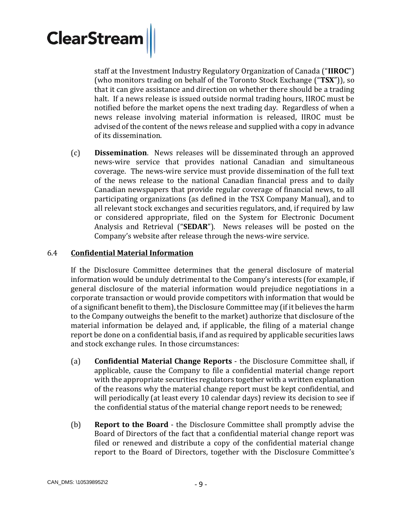staff at the Investment Industry Regulatory Organization of Canada ("**IIROC**") (who monitors trading on behalf of the Toronto Stock Exchange ("**TSX**")), so that it can give assistance and direction on whether there should be a trading halt. If a news release is issued outside normal trading hours, IIROC must be notified before the market opens the next trading day. Regardless of when a news release involving material information is released, IIROC must be advised of the content of the news release and supplied with a copy in advance of its dissemination.

(c) **Dissemination**. News releases will be disseminated through an approved news-wire service that provides national Canadian and simultaneous coverage. The news-wire service must provide dissemination of the full text of the news release to the national Canadian financial press and to daily Canadian newspapers that provide regular coverage of financial news, to all participating organizations (as defined in the TSX Company Manual), and to all relevant stock exchanges and securities regulators, and, if required by law or considered appropriate, filed on the System for Electronic Document Analysis and Retrieval ("**SEDAR**"). News releases will be posted on the Company's website after release through the news-wire service.

#### <span id="page-8-0"></span>6.4 **Confidential Material Information**

If the Disclosure Committee determines that the general disclosure of material information would be unduly detrimental to the Company's interests (for example, if general disclosure of the material information would prejudice negotiations in a corporate transaction or would provide competitors with information that would be of a significant benefit to them), the Disclosure Committee may (if it believes the harm to the Company outweighs the benefit to the market) authorize that disclosure of the material information be delayed and, if applicable, the filing of a material change report be done on a confidential basis, if and as required by applicable securities laws and stock exchange rules. In those circumstances:

- (a) **Confidential Material Change Reports** the Disclosure Committee shall, if applicable, cause the Company to file a confidential material change report with the appropriate securities regulators together with a written explanation of the reasons why the material change report must be kept confidential, and will periodically (at least every 10 calendar days) review its decision to see if the confidential status of the material change report needs to be renewed;
- (b) **Report to the Board** the Disclosure Committee shall promptly advise the Board of Directors of the fact that a confidential material change report was filed or renewed and distribute a copy of the confidential material change report to the Board of Directors, together with the Disclosure Committee's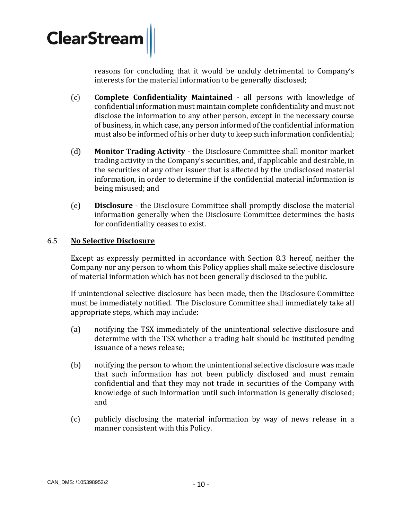

reasons for concluding that it would be unduly detrimental to Company's interests for the material information to be generally disclosed;

- (c) **Complete Confidentiality Maintained** all persons with knowledge of confidential information must maintain complete confidentiality and must not disclose the information to any other person, except in the necessary course of business, in which case, any person informed of the confidential information must also be informed of his or her duty to keep such information confidential;
- (d) **Monitor Trading Activity**  the Disclosure Committee shall monitor market trading activity in the Company's securities, and, if applicable and desirable, in the securities of any other issuer that is affected by the undisclosed material information, in order to determine if the confidential material information is being misused; and
- (e) **Disclosure** the Disclosure Committee shall promptly disclose the material information generally when the Disclosure Committee determines the basis for confidentiality ceases to exist.

#### <span id="page-9-0"></span>6.5 **No Selective Disclosure**

Except as expressly permitted in accordance with Section [8.3](#page-12-0) hereof, neither the Company nor any person to whom this Policy applies shall make selective disclosure of material information which has not been generally disclosed to the public.

If unintentional selective disclosure has been made, then the Disclosure Committee must be immediately notified. The Disclosure Committee shall immediately take all appropriate steps, which may include:

- (a) notifying the TSX immediately of the unintentional selective disclosure and determine with the TSX whether a trading halt should be instituted pending issuance of a news release;
- (b) notifying the person to whom the unintentional selective disclosure was made that such information has not been publicly disclosed and must remain confidential and that they may not trade in securities of the Company with knowledge of such information until such information is generally disclosed; and
- (c) publicly disclosing the material information by way of news release in a manner consistent with this Policy.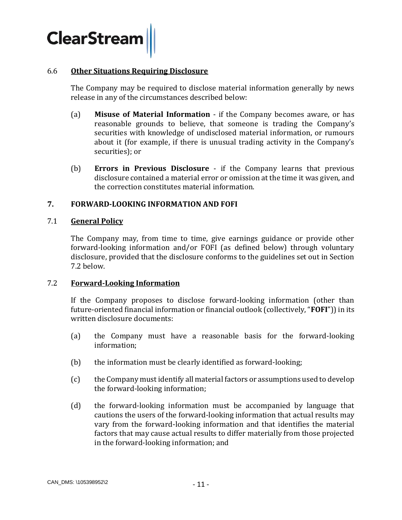

#### 6.6 **Other Situations Requiring Disclosure**

The Company may be required to disclose material information generally by news release in any of the circumstances described below:

- (a) **Misuse of Material Information**  if the Company becomes aware, or has reasonable grounds to believe, that someone is trading the Company's securities with knowledge of undisclosed material information, or rumours about it (for example, if there is unusual trading activity in the Company's securities); or
- (b) **Errors in Previous Disclosure** if the Company learns that previous disclosure contained a material error or omission at the time it was given, and the correction constitutes material information.

#### <span id="page-10-0"></span>**7. FORWARD-LOOKING INFORMATION AND FOFI**

#### 7.1 **General Policy**

The Company may, from time to time, give earnings guidance or provide other forward-looking information and/or FOFI (as defined below) through voluntary disclosure, provided that the disclosure conforms to the guidelines set out in Section [7.2](#page-10-1) below.

#### <span id="page-10-1"></span>7.2 **Forward-Looking Information**

If the Company proposes to disclose forward-looking information (other than future-oriented financial information or financial outlook (collectively, "**FOFI**")) in its written disclosure documents:

- <span id="page-10-2"></span>(a) the Company must have a reasonable basis for the forward-looking information;
- <span id="page-10-3"></span>(b) the information must be clearly identified as forward-looking;
- <span id="page-10-4"></span>(c) the Company must identify all material factors or assumptions used to develop the forward-looking information;
- <span id="page-10-5"></span>(d) the forward-looking information must be accompanied by language that cautions the users of the forward-looking information that actual results may vary from the forward-looking information and that identifies the material factors that may cause actual results to differ materially from those projected in the forward-looking information; and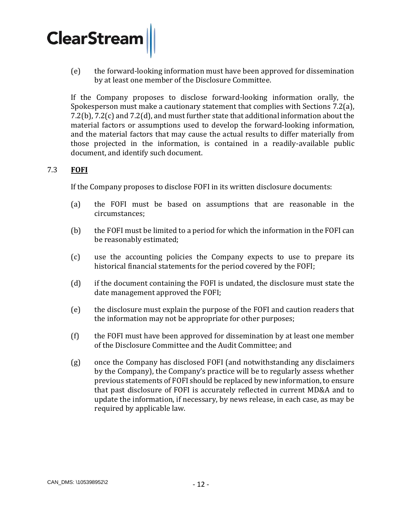<span id="page-11-0"></span>(e) the forward-looking information must have been approved for dissemination by at least one member of the Disclosure Committee.

If the Company proposes to disclose forward-looking information orally, the Spokesperson must make a cautionary statement that complies with Sections [7.2\(a\),](#page-10-2) [7.2\(b\),](#page-10-3) [7.2\(c\)](#page-10-4) and [7.2\(d\),](#page-10-5) and must further state that additional information about the material factors or assumptions used to develop the forward-looking information, and the material factors that may cause the actual results to differ materially from those projected in the information, is contained in a readily-available public document, and identify such document.

# 7.3 **FOFI**

If the Company proposes to disclose FOFI in its written disclosure documents:

- (a) the FOFI must be based on assumptions that are reasonable in the circumstances;
- (b) the FOFI must be limited to a period for which the information in the FOFI can be reasonably estimated;
- (c) use the accounting policies the Company expects to use to prepare its historical financial statements for the period covered by the FOFI;
- (d) if the document containing the FOFI is undated, the disclosure must state the date management approved the FOFI;
- (e) the disclosure must explain the purpose of the FOFI and caution readers that the information may not be appropriate for other purposes;
- (f) the FOFI must have been approved for dissemination by at least one member of the Disclosure Committee and the Audit Committee; and
- (g) once the Company has disclosed FOFI (and notwithstanding any disclaimers by the Company), the Company's practice will be to regularly assess whether previous statements of FOFI should be replaced by new information, to ensure that past disclosure of FOFI is accurately reflected in current MD&A and to update the information, if necessary, by news release, in each case, as may be required by applicable law.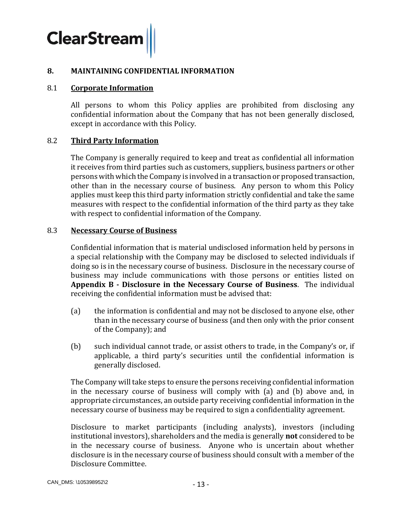#### **8. MAINTAINING CONFIDENTIAL INFORMATION**

#### 8.1 **Corporate Information**

All persons to whom this Policy applies are prohibited from disclosing any confidential information about the Company that has not been generally disclosed, except in accordance with this Policy.

#### 8.2 **Third Party Information**

The Company is generally required to keep and treat as confidential all information it receives from third parties such as customers, suppliers, business partners or other persons with which the Company is involved in a transaction or proposed transaction, other than in the necessary course of business. Any person to whom this Policy applies must keep this third party information strictly confidential and take the same measures with respect to the confidential information of the third party as they take with respect to confidential information of the Company.

#### <span id="page-12-0"></span>8.3 **Necessary Course of Business**

Confidential information that is material undisclosed information held by persons in a special relationship with the Company may be disclosed to selected individuals if doing so is in the necessary course of business. Disclosure in the necessary course of business may include communications with those persons or entities listed on **Appendix B - Disclosure in the Necessary Course of Business**. The individual receiving the confidential information must be advised that:

- (a) the information is confidential and may not be disclosed to anyone else, other than in the necessary course of business (and then only with the prior consent of the Company); and
- (b) such individual cannot trade, or assist others to trade, in the Company's or, if applicable, a third party's securities until the confidential information is generally disclosed.

The Company will take steps to ensure the persons receiving confidential information in the necessary course of business will comply with (a) and (b) above and, in appropriate circumstances, an outside party receiving confidential information in the necessary course of business may be required to sign a confidentiality agreement.

Disclosure to market participants (including analysts), investors (including institutional investors), shareholders and the media is generally **not** considered to be in the necessary course of business. Anyone who is uncertain about whether disclosure is in the necessary course of business should consult with a member of the Disclosure Committee.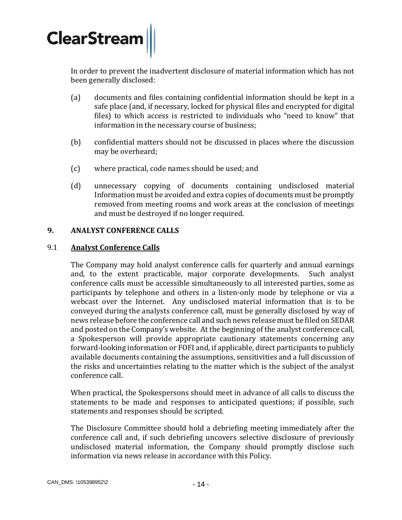

In order to prevent the inadvertent disclosure of material information which has not been generally disclosed:

- (a) documents and files containing confidential information should be kept in a safe place (and, if necessary, locked for physical files and encrypted for digital files) to which access is restricted to individuals who "need to know" that information in the necessary course of business;
- (b) confidential matters should not be discussed in places where the discussion may be overheard;
- (c) where practical, code names should be used; and
- (d) unnecessary copying of documents containing undisclosed material Information must be avoided and extra copies of documents must be promptly removed from meeting rooms and work areas at the conclusion of meetings and must be destroyed if no longer required.

#### <span id="page-13-0"></span>**9. ANALYST CONFERENCE CALLS**

#### 9.1 **Analyst Conference Calls**

The Company may hold analyst conference calls for quarterly and annual earnings and, to the extent practicable, major corporate developments. Such analyst conference calls must be accessible simultaneously to all interested parties, some as participants by telephone and others in a listen-only mode by telephone or via a webcast over the Internet. Any undisclosed material information that is to be conveyed during the analysts conference call, must be generally disclosed by way of news release before the conference call and such news release must be filed on SEDAR and posted on the Company's website. At the beginning of the analyst conference call, a Spokesperson will provide appropriate cautionary statements concerning any forward-looking information or FOFI and, if applicable, direct participants to publicly available documents containing the assumptions, sensitivities and a full discussion of the risks and uncertainties relating to the matter which is the subject of the analyst conference call.

When practical, the Spokespersons should meet in advance of all calls to discuss the statements to be made and responses to anticipated questions; if possible, such statements and responses should be scripted.

The Disclosure Committee should hold a debriefing meeting immediately after the conference call and, if such debriefing uncovers selective disclosure of previously undisclosed material information, the Company should promptly disclose such information via news release in accordance with this Policy.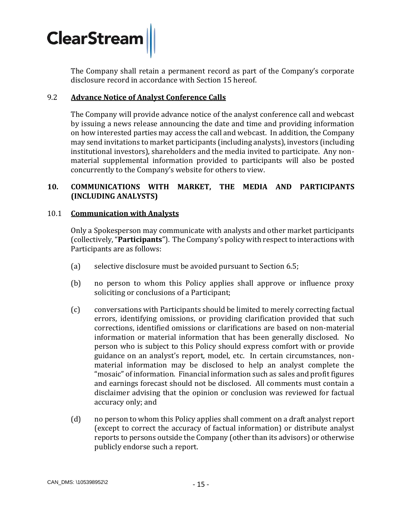

The Company shall retain a permanent record as part of the Company's corporate disclosure record in accordance with Section [15](#page-19-0) hereof.

#### 9.2 **Advance Notice of Analyst Conference Calls**

The Company will provide advance notice of the analyst conference call and webcast by issuing a news release announcing the date and time and providing information on how interested parties may access the call and webcast. In addition, the Company may send invitations to market participants (including analysts), investors (including institutional investors), shareholders and the media invited to participate. Any nonmaterial supplemental information provided to participants will also be posted concurrently to the Company's website for others to view.

#### <span id="page-14-0"></span>**10. COMMUNICATIONS WITH MARKET, THE MEDIA AND PARTICIPANTS (INCLUDING ANALYSTS)**

#### 10.1 **Communication with Analysts**

Only a Spokesperson may communicate with analysts and other market participants (collectively, "**Participants**"). The Company's policy with respect to interactions with Participants are as follows:

- (a) selective disclosure must be avoided pursuant to Section [6.5;](#page-9-0)
- (b) no person to whom this Policy applies shall approve or influence proxy soliciting or conclusions of a Participant;
- (c) conversations with Participants should be limited to merely correcting factual errors, identifying omissions, or providing clarification provided that such corrections, identified omissions or clarifications are based on non-material information or material information that has been generally disclosed. No person who is subject to this Policy should express comfort with or provide guidance on an analyst's report, model, etc. In certain circumstances, nonmaterial information may be disclosed to help an analyst complete the "mosaic" of information. Financial information such as sales and profit figures and earnings forecast should not be disclosed. All comments must contain a disclaimer advising that the opinion or conclusion was reviewed for factual accuracy only; and
- (d) no person to whom this Policy applies shall comment on a draft analyst report (except to correct the accuracy of factual information) or distribute analyst reports to persons outside the Company (other than its advisors) or otherwise publicly endorse such a report.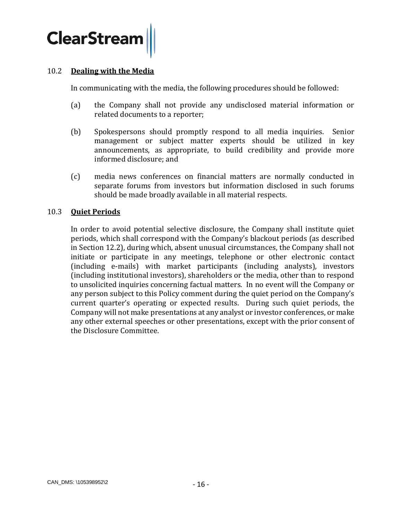<span id="page-15-0"></span>

#### 10.2 **Dealing with the Media**

In communicating with the media, the following procedures should be followed:

- (a) the Company shall not provide any undisclosed material information or related documents to a reporter;
- (b) Spokespersons should promptly respond to all media inquiries. Senior management or subject matter experts should be utilized in key announcements, as appropriate, to build credibility and provide more informed disclosure; and
- (c) media news conferences on financial matters are normally conducted in separate forums from investors but information disclosed in such forums should be made broadly available in all material respects.

#### 10.3 **Quiet Periods**

In order to avoid potential selective disclosure, the Company shall institute quiet periods, which shall correspond with the Company's blackout periods (as described in Section [12.2\)](#page-17-1), during which, absent unusual circumstances, the Company shall not initiate or participate in any meetings, telephone or other electronic contact (including e-mails) with market participants (including analysts), investors (including institutional investors), shareholders or the media, other than to respond to unsolicited inquiries concerning factual matters. In no event will the Company or any person subject to this Policy comment during the quiet period on the Company's current quarter's operating or expected results. During such quiet periods, the Company will not make presentations at any analyst or investor conferences, or make any other external speeches or other presentations, except with the prior consent of the Disclosure Committee.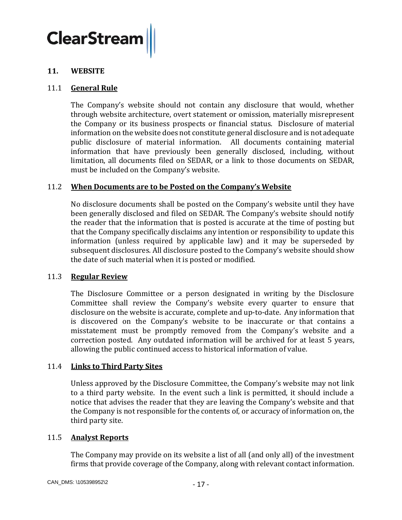#### **11. WEBSITE**

#### 11.1 **General Rule**

The Company's website should not contain any disclosure that would, whether through website architecture, overt statement or omission, materially misrepresent the Company or its business prospects or financial status. Disclosure of material information on the website does not constitute general disclosure and is not adequate public disclosure of material information. All documents containing material information that have previously been generally disclosed, including, without limitation, all documents filed on SEDAR, or a link to those documents on SEDAR, must be included on the Company's website.

#### 11.2 **When Documents are to be Posted on the Company's Website**

No disclosure documents shall be posted on the Company's website until they have been generally disclosed and filed on SEDAR. The Company's website should notify the reader that the information that is posted is accurate at the time of posting but that the Company specifically disclaims any intention or responsibility to update this information (unless required by applicable law) and it may be superseded by subsequent disclosures. All disclosure posted to the Company's website should show the date of such material when it is posted or modified.

#### 11.3 **Regular Review**

The Disclosure Committee or a person designated in writing by the Disclosure Committee shall review the Company's website every quarter to ensure that disclosure on the website is accurate, complete and up-to-date. Any information that is discovered on the Company's website to be inaccurate or that contains a misstatement must be promptly removed from the Company's website and a correction posted. Any outdated information will be archived for at least 5 years, allowing the public continued access to historical information of value.

#### 11.4 **Links to Third Party Sites**

Unless approved by the Disclosure Committee, the Company's website may not link to a third party website. In the event such a link is permitted, it should include a notice that advises the reader that they are leaving the Company's website and that the Company is not responsible for the contents of, or accuracy of information on, the third party site.

#### 11.5 **Analyst Reports**

The Company may provide on its website a list of all (and only all) of the investment firms that provide coverage of the Company, along with relevant contact information.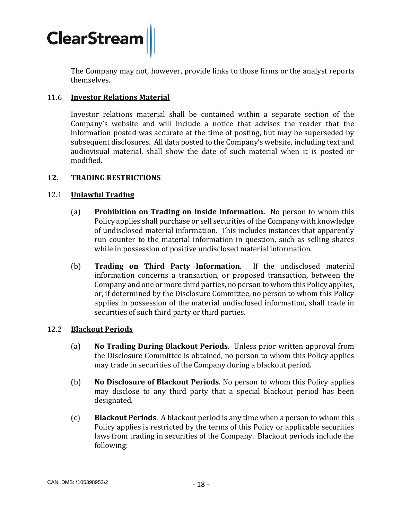

The Company may not, however, provide links to those firms or the analyst reports themselves.

#### 11.6 **Investor Relations Material**

Investor relations material shall be contained within a separate section of the Company's website and will include a notice that advises the reader that the information posted was accurate at the time of posting, but may be superseded by subsequent disclosures. All data posted to the Company's website, including text and audiovisual material, shall show the date of such material when it is posted or modified.

#### <span id="page-17-0"></span>**12. TRADING RESTRICTIONS**

#### 12.1 **Unlawful Trading**

- (a) **Prohibition on Trading on Inside Information.** No person to whom this Policy applies shall purchase or sell securities of the Company with knowledge of undisclosed material information. This includes instances that apparently run counter to the material information in question, such as selling shares while in possession of positive undisclosed material information.
- (b) **Trading on Third Party Information**. If the undisclosed material information concerns a transaction, or proposed transaction, between the Company and one or more third parties, no person to whom this Policy applies, or, if determined by the Disclosure Committee, no person to whom this Policy applies in possession of the material undisclosed information, shall trade in securities of such third party or third parties.

#### <span id="page-17-1"></span>12.2 **Blackout Periods**

- (a) **No Trading During Blackout Periods**. Unless prior written approval from the Disclosure Committee is obtained, no person to whom this Policy applies may trade in securities of the Company during a blackout period.
- (b) **No Disclosure of Blackout Periods**. No person to whom this Policy applies may disclose to any third party that a special blackout period has been designated.
- <span id="page-17-2"></span>(c) **Blackout Periods**. A blackout period is any time when a person to whom this Policy applies is restricted by the terms of this Policy or applicable securities laws from trading in securities of the Company. Blackout periods include the following: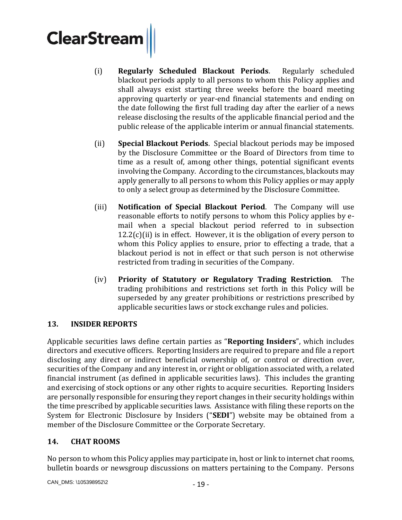- (i) **Regularly Scheduled Blackout Periods**. Regularly scheduled blackout periods apply to all persons to whom this Policy applies and shall always exist starting three weeks before the board meeting approving quarterly or year-end financial statements and ending on the date following the first full trading day after the earlier of a news release disclosing the results of the applicable financial period and the public release of the applicable interim or annual financial statements.
- <span id="page-18-2"></span>(ii) **Special Blackout Periods**. Special blackout periods may be imposed by the Disclosure Committee or the Board of Directors from time to time as a result of, among other things, potential significant events involving the Company. According to the circumstances, blackouts may apply generally to all persons to whom this Policy applies or may apply to only a select group as determined by the Disclosure Committee.
- (iii) **Notification of Special Blackout Period**. The Company will use reasonable efforts to notify persons to whom this Policy applies by email when a special blackout period referred to in subsection  $12.2(c)$  $12.2(c)$ [\(ii\)](#page-18-2) is in effect. However, it is the obligation of every person to whom this Policy applies to ensure, prior to effecting a trade, that a blackout period is not in effect or that such person is not otherwise restricted from trading in securities of the Company.
- (iv) **Priority of Statutory or Regulatory Trading Restriction**. The trading prohibitions and restrictions set forth in this Policy will be superseded by any greater prohibitions or restrictions prescribed by applicable securities laws or stock exchange rules and policies.

# <span id="page-18-0"></span>**13. INSIDER REPORTS**

Applicable securities laws define certain parties as "**Reporting Insiders**", which includes directors and executive officers. Reporting Insiders are required to prepare and file a report disclosing any direct or indirect beneficial ownership of, or control or direction over, securities of the Company and any interest in, or right or obligation associated with, a related financial instrument (as defined in applicable securities laws). This includes the granting and exercising of stock options or any other rights to acquire securities. Reporting Insiders are personally responsible for ensuring they report changes in their security holdings within the time prescribed by applicable securities laws. Assistance with filing these reports on the System for Electronic Disclosure by Insiders ("**SEDI**") website may be obtained from a member of the Disclosure Committee or the Corporate Secretary.

# <span id="page-18-1"></span>**14. CHAT ROOMS**

No person to whom this Policy applies may participate in, host or link to internet chat rooms, bulletin boards or newsgroup discussions on matters pertaining to the Company. Persons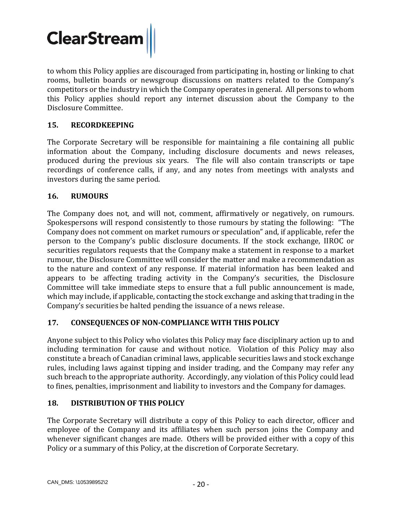<span id="page-19-4"></span>to whom this Policy applies are discouraged from participating in, hosting or linking to chat rooms, bulletin boards or newsgroup discussions on matters related to the Company's competitors or the industry in which the Company operates in general. All persons to whom this Policy applies should report any internet discussion about the Company to the Disclosure Committee.

# <span id="page-19-0"></span>**15. RECORDKEEPING**

The Corporate Secretary will be responsible for maintaining a file containing all public information about the Company, including disclosure documents and news releases, produced during the previous six years. The file will also contain transcripts or tape recordings of conference calls, if any, and any notes from meetings with analysts and investors during the same period.

# <span id="page-19-1"></span>**16. RUMOURS**

The Company does not, and will not, comment, affirmatively or negatively, on rumours. Spokespersons will respond consistently to those rumours by stating the following: "The Company does not comment on market rumours or speculation" and, if applicable, refer the person to the Company's public disclosure documents. If the stock exchange, IIROC or securities regulators requests that the Company make a statement in response to a market rumour, the Disclosure Committee will consider the matter and make a recommendation as to the nature and context of any response. If material information has been leaked and appears to be affecting trading activity in the Company's securities, the Disclosure Committee will take immediate steps to ensure that a full public announcement is made, which may include, if applicable, contacting the stock exchange and asking that trading in the Company's securities be halted pending the issuance of a news release.

# <span id="page-19-2"></span>**17. CONSEQUENCES OF NON-COMPLIANCE WITH THIS POLICY**

Anyone subject to this Policy who violates this Policy may face disciplinary action up to and including termination for cause and without notice. Violation of this Policy may also constitute a breach of Canadian criminal laws, applicable securities laws and stock exchange rules, including laws against tipping and insider trading, and the Company may refer any such breach to the appropriate authority. Accordingly, any violation of this Policy could lead to fines, penalties, imprisonment and liability to investors and the Company for damages.

# <span id="page-19-3"></span>**18. DISTRIBUTION OF THIS POLICY**

The Corporate Secretary will distribute a copy of this Policy to each director, officer and employee of the Company and its affiliates when such person joins the Company and whenever significant changes are made. Others will be provided either with a copy of this Policy or a summary of this Policy, at the discretion of Corporate Secretary.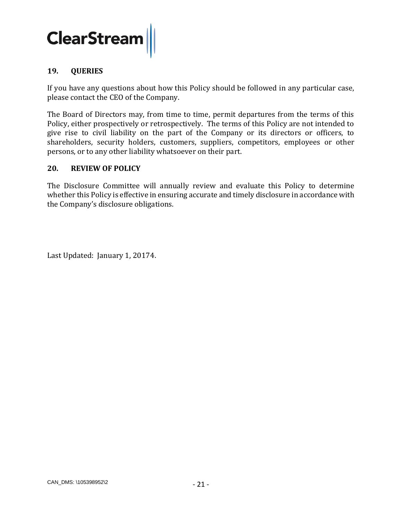

#### **19. QUERIES**

If you have any questions about how this Policy should be followed in any particular case, please contact the CEO of the Company.

The Board of Directors may, from time to time, permit departures from the terms of this Policy, either prospectively or retrospectively. The terms of this Policy are not intended to give rise to civil liability on the part of the Company or its directors or officers, to shareholders, security holders, customers, suppliers, competitors, employees or other persons, or to any other liability whatsoever on their part.

#### <span id="page-20-0"></span>**20. REVIEW OF POLICY**

The Disclosure Committee will annually review and evaluate this Policy to determine whether this Policy is effective in ensuring accurate and timely disclosure in accordance with the Company's disclosure obligations.

Last Updated: January 1, 20174.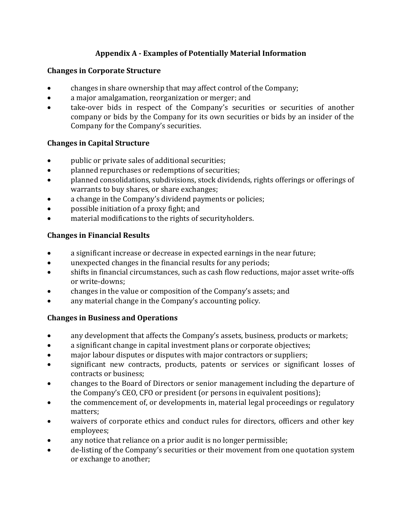# **Appendix A - Examples of Potentially Material Information**

## **Changes in Corporate Structure**

- changes in share ownership that may affect control of the Company;
- a major amalgamation, reorganization or merger; and
- take-over bids in respect of the Company's securities or securities of another company or bids by the Company for its own securities or bids by an insider of the Company for the Company's securities.

## **Changes in Capital Structure**

- public or private sales of additional securities;
- planned repurchases or redemptions of securities;
- planned consolidations, subdivisions, stock dividends, rights offerings or offerings of warrants to buy shares, or share exchanges;
- a change in the Company's dividend payments or policies;
- possible initiation of a proxy fight; and
- material modifications to the rights of securityholders.

# **Changes in Financial Results**

- a significant increase or decrease in expected earnings in the near future;
- unexpected changes in the financial results for any periods;
- shifts in financial circumstances, such as cash flow reductions, major asset write-offs or write-downs;
- changes in the value or composition of the Company's assets; and
- any material change in the Company's accounting policy.

#### **Changes in Business and Operations**

- any development that affects the Company's assets, business, products or markets;
- a significant change in capital investment plans or corporate objectives;
- major labour disputes or disputes with major contractors or suppliers;
- significant new contracts, products, patents or services or significant losses of contracts or business;
- changes to the Board of Directors or senior management including the departure of the Company's CEO, CFO or president (or persons in equivalent positions);
- the commencement of, or developments in, material legal proceedings or regulatory matters;
- waivers of corporate ethics and conduct rules for directors, officers and other key employees;
- any notice that reliance on a prior audit is no longer permissible;
- de-listing of the Company's securities or their movement from one quotation system or exchange to another;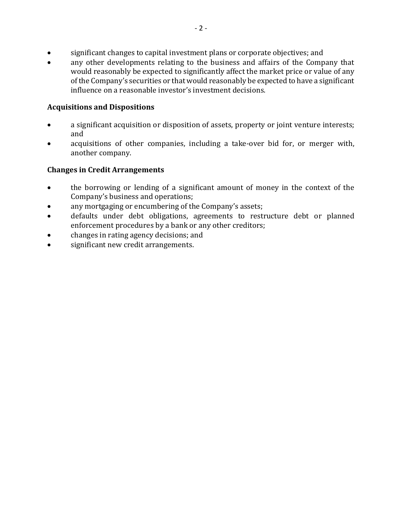- significant changes to capital investment plans or corporate objectives; and
- any other developments relating to the business and affairs of the Company that would reasonably be expected to significantly affect the market price or value of any of the Company's securities or that would reasonably be expected to have a significant influence on a reasonable investor's investment decisions.

#### **Acquisitions and Dispositions**

- a significant acquisition or disposition of assets, property or joint venture interests; and
- acquisitions of other companies, including a take-over bid for, or merger with, another company.

## **Changes in Credit Arrangements**

- the borrowing or lending of a significant amount of money in the context of the Company's business and operations;
- any mortgaging or encumbering of the Company's assets;
- defaults under debt obligations, agreements to restructure debt or planned enforcement procedures by a bank or any other creditors;
- changes in rating agency decisions; and
- significant new credit arrangements.